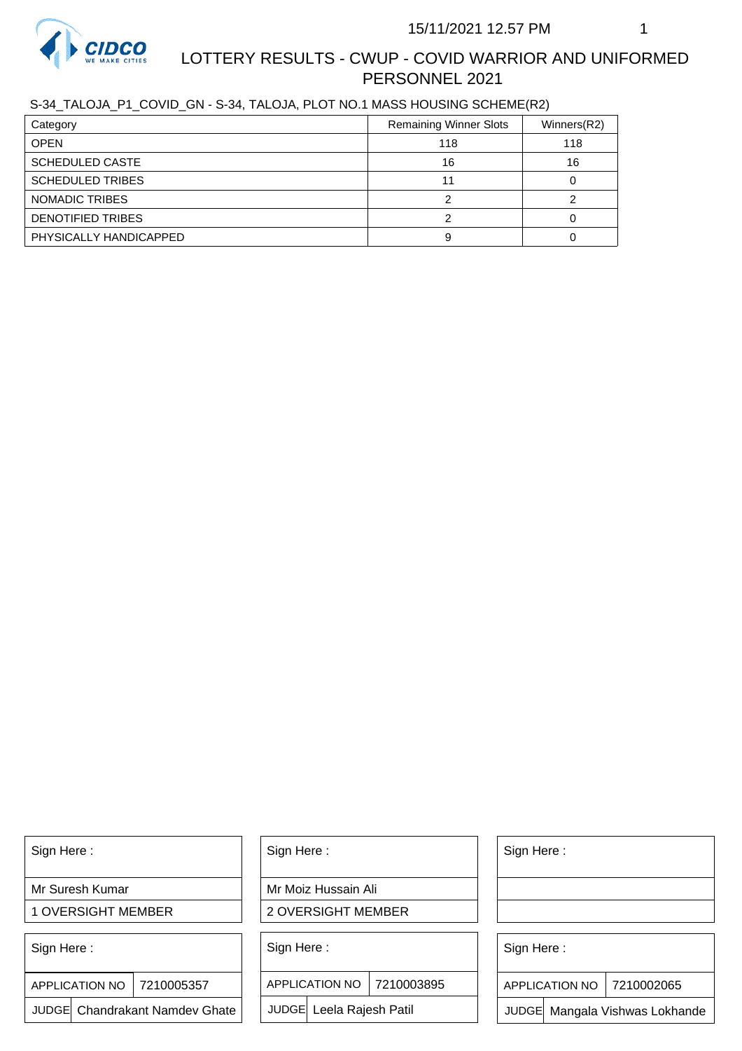

# LOTTERY RESULTS - CWUP - COVID WARRIOR AND UNIFORMED PERSONNEL 2021

## S-34\_TALOJA\_P1\_COVID\_GN - S-34, TALOJA, PLOT NO.1 MASS HOUSING SCHEME(R2)

| Category                | <b>Remaining Winner Slots</b> | Winners(R2) |
|-------------------------|-------------------------------|-------------|
| <b>OPEN</b>             | 118                           | 118         |
| <b>SCHEDULED CASTE</b>  | 16                            | 16          |
| <b>SCHEDULED TRIBES</b> |                               |             |
| NOMADIC TRIBES          |                               |             |
| DENOTIFIED TRIBES       |                               |             |
| PHYSICALLY HANDICAPPED  |                               |             |

Sign Here :

Mr Suresh Kumar

1 OVERSIGHT MEMBER

Sign Here :

7210005357 APPLICATION NO

JUDGE Chandrakant Namdev Ghate

Sign Here :

Mr Moiz Hussain Ali

2 OVERSIGHT MEMBER

Sign Here :

APPLICATION NO 7210003895

JUDGE Leela Rajesh Patil

Sign Here :

Sign Here :

APPLICATION NO | 7210002065

Chandrakant Namdev Ghate  $|\quad|$  JUDGE Leela Rajesh Patil  $|\quad|$  JUDGE Mangala Vishwas Lokhande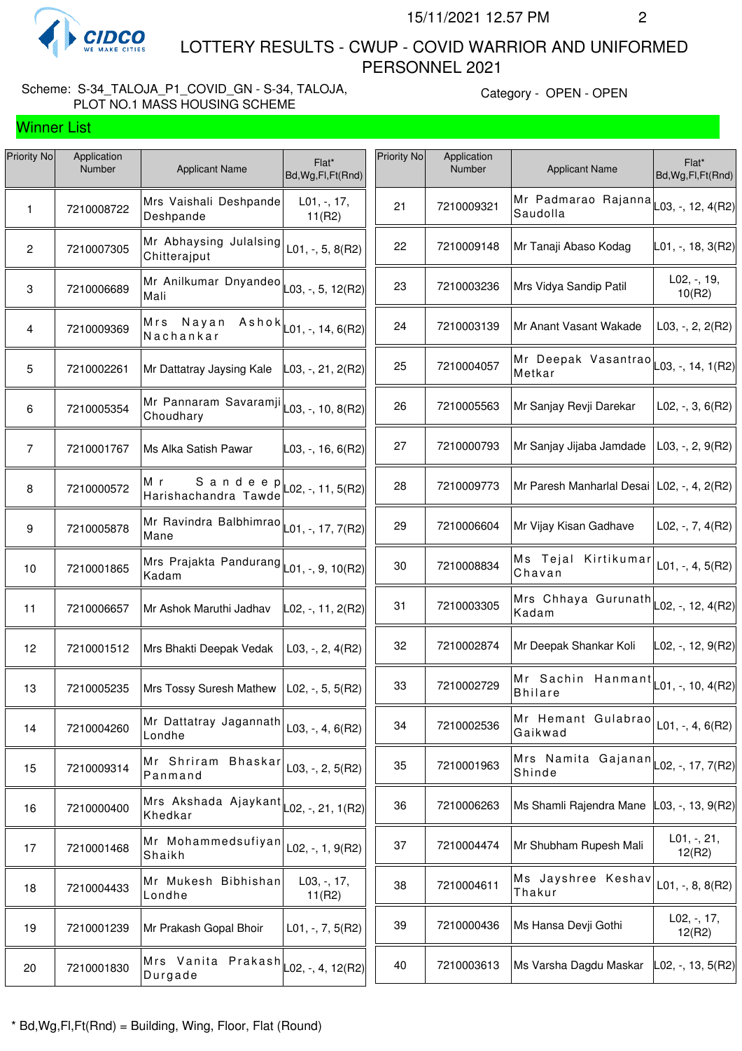

Winner List

 LOTTERY RESULTS - CWUP - COVID WARRIOR AND UNIFORMED PERSONNEL 2021

## Scheme: S-34\_TALOJA\_P1\_COVID\_GN - S-34, TALOJA, PLOT NO.1 MASS HOUSING SCHEME

Category - OPEN - OPEN

| Priority No    | Application<br>Number | <b>Applicant Name</b>                  | Flat*<br>Bd, Wg, Fl, Ft (Rnd) | Priority No | Application<br>Number | <b>Applicant Name</b>                                                     | Flat*<br>Bd, Wg, Fl, Ft (Rnd) |
|----------------|-----------------------|----------------------------------------|-------------------------------|-------------|-----------------------|---------------------------------------------------------------------------|-------------------------------|
| $\mathbf{1}$   | 7210008722            | Mrs Vaishali Deshpande<br>Deshpande    | $L01, -17,$<br>11(R2)         | 21          | 7210009321            | Mr Padmarao Rajanna $\vert$ $L$ 03, -, 12, 4(R2)<br>Saudolla              |                               |
| $\mathbf{2}$   | 7210007305            | Mr Abhaysing Julalsing<br>Chitterajput | L01, $-$ , 5, 8(R2)           | 22          | 7210009148            | Mr Tanaji Abaso Kodag                                                     | $ L01, -, 18, 3(R2) $         |
| 3              | 7210006689            | Mr Anilkumar Dnyandeo<br>Mali          | $L$ 03, -, 5, 12(R2)          | 23          | 7210003236            | Mrs Vidya Sandip Patil                                                    | L02, -, 19,<br>10(R2)         |
| $\overline{4}$ | 7210009369            | Nayan<br>Mrs<br>Ashok<br>Nachankar     | $-01, -11, 6(R2)$             | 24          | 7210003139            | Mr Anant Vasant Wakade                                                    | L03, $-$ , 2, 2(R2)           |
| 5              | 7210002261            | Mr Dattatray Jaysing Kale              | L03, -, 21, 2(R2)             | 25          | 7210004057            | Mr Deepak Vasantrao $\vert$ $_{L03, \, \cdot, \, 14, \, 1(R2)}$<br>Metkar |                               |
| 6              | 7210005354            | Mr Pannaram Savaramji<br>Choudhary     | L03, -, 10, 8(R2)             | 26          | 7210005563            | Mr Sanjay Revji Darekar                                                   | $L02, -3, 6(R2)$              |
| $\overline{7}$ | 7210001767            | Ms Alka Satish Pawar                   | $ $ L03, -, 16, 6(R2)         | 27          | 7210000793            | Mr Sanjay Jijaba Jamdade                                                  | $L03, -2, 9(R2)$              |
| $\bf 8$        | 7210000572            | Sandeep<br>Мr<br>Harishachandra Tawde  | $-02, -11, 5(R2)$             | 28          | 7210009773            | Mr Paresh Manharlal Desai   L02, -, 4, 2(R2)                              |                               |
| 9              | 7210005878            | Mr Ravindra Balbhimrao<br>Mane         | L01, -, 17, 7(R2)             | 29          | 7210006604            | Mr Vijay Kisan Gadhave                                                    | L02, $-$ , 7, 4(R2)           |
| 10             | 7210001865            | Mrs Prajakta Pandurang<br>Kadam        | $-01, -, 9, 10(R2)$           | 30          | 7210008834            | Ms Tejal Kirtikumar<br>Chavan                                             | L01, -, 4, $5(R2)$            |
| 11             | 7210006657            | Mr Ashok Maruthi Jadhav                | L02, -, 11, 2(R2)             | 31          | 7210003305            | Mrs Chhaya Gurunath<br>Kadam                                              | L02, -, 12, 4(R2)             |
| 12             | 7210001512            | Mrs Bhakti Deepak Vedak                | L03, $-$ , 2, 4(R2)           | 32          | 7210002874            | Mr Deepak Shankar Koli                                                    | L02, -, 12, 9(R2)             |
| 13             | 7210005235            | Mrs Tossy Suresh Mathew                | L02, $-$ , 5, 5(R2)           | 33          | 7210002729            | Mr Sachin Hanmant $\vert$ $L$ 01, -, 10, 4(R2)<br><b>Bhilare</b>          |                               |
| 14             | 7210004260            | Mr Dattatray Jagannath<br>Londhe       | L03, -, 4, $6(R2)$            | 34          | 7210002536            | Mr Hemant Gulabrao<br>Gaikwad                                             | $L01, -, 4, 6(R2)$            |
| 15             | 7210009314            | Mr Shriram Bhaskar<br>Panmand          | $L03, -, 2, 5(R2)$            | 35          | 7210001963            | Mrs Namita Gajanan $\vert$ L02, -, 17, 7(R2)<br>Shinde                    |                               |
| 16             | 7210000400            | Mrs Akshada Ajaykant<br>Khedkar        | L02, -, 21, 1(R2)             | 36          | 7210006263            | Ms Shamli Rajendra Mane                                                   | $ L03, -, 13, 9(R2) $         |
| 17             | 7210001468            | Mr Mohammedsufiyan<br>Shaikh           | L02, $-$ , 1, 9(R2)           | 37          | 7210004474            | Mr Shubham Rupesh Mali                                                    | $L01, -21,$<br>12(R2)         |
| 18             | 7210004433            | Mr Mukesh Bibhishan<br>Londhe          | L03, -, 17,<br>11(R2)         | 38          | 7210004611            | Ms Jayshree Keshav<br>Thakur                                              | L01, $-$ , 8, 8(R2)           |
| 19             | 7210001239            | Mr Prakash Gopal Bhoir                 | $L01, -7, 5(R2)$              | 39          | 7210000436            | Ms Hansa Devji Gothi                                                      | $L02, -17,$<br>12(R2)         |
| 20             | 7210001830            | Mrs Vanita Prakash<br>Durgade          | $\vert$ L02, -, 4, 12(R2)     | 40          | 7210003613            | Ms Varsha Dagdu Maskar                                                    | L02, -, 13, 5(R2)             |
|                |                       |                                        |                               |             |                       |                                                                           |                               |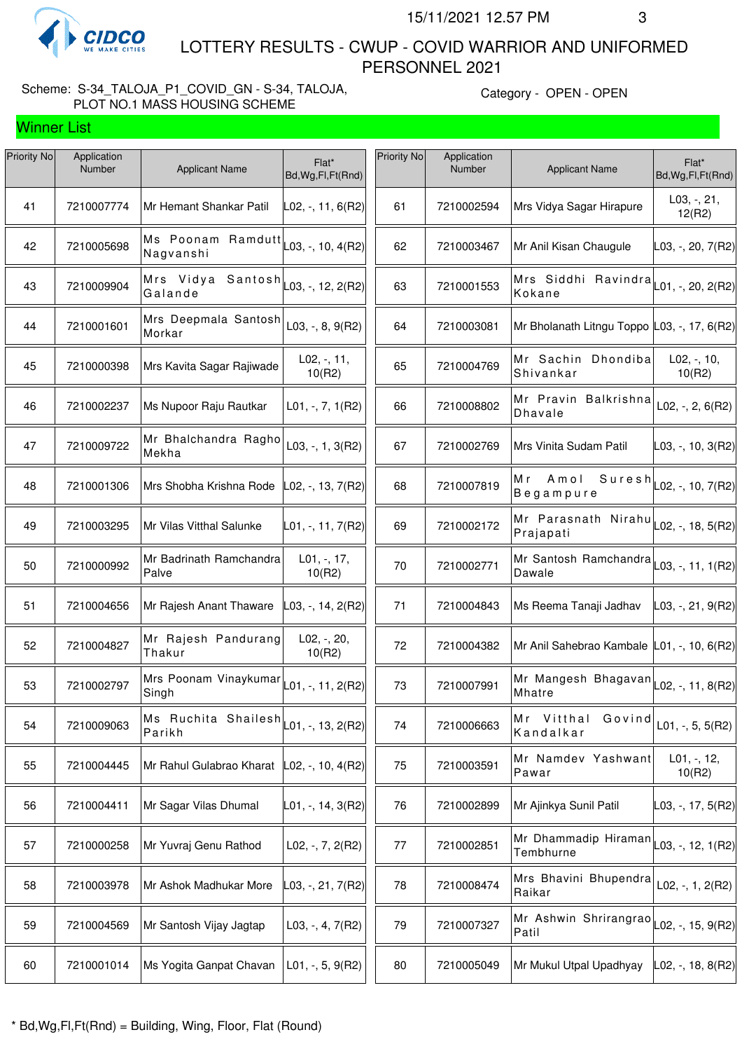

Winner List

 LOTTERY RESULTS - CWUP - COVID WARRIOR AND UNIFORMED PERSONNEL 2021

### Scheme: S-34\_TALOJA\_P1\_COVID\_GN - S-34, TALOJA, PLOT NO.1 MASS HOUSING SCHEME

Category - OPEN - OPEN

| Application<br><b>Number</b> | <b>Applicant Name</b>            | Flat*<br>Bd, Wg, Fl, Ft (Rnd) | Priority No                                                                                                                                                                   | Application<br>Number | <b>Applicant Name</b>                                                | Flat*<br>Bd, Wg, Fl, Ft (Rnd) |
|------------------------------|----------------------------------|-------------------------------|-------------------------------------------------------------------------------------------------------------------------------------------------------------------------------|-----------------------|----------------------------------------------------------------------|-------------------------------|
| 7210007774                   | Mr Hemant Shankar Patil          | L02, -, 11, 6(R2)             | 61                                                                                                                                                                            | 7210002594            | Mrs Vidya Sagar Hirapure                                             | $L03, -21,$<br>12(R2)         |
| 7210005698                   | Ms Poonam Ramdutt<br>Nagvanshi   |                               | 62                                                                                                                                                                            | 7210003467            | Mr Anil Kisan Chaugule                                               | L03, -, 20, 7(R2)             |
| 7210009904                   | Galande                          |                               | 63                                                                                                                                                                            | 7210001553            | Mrs Siddhi Ravindra $\vert$ L01, -, 20, 2(R2)<br>Kokane              |                               |
| 7210001601                   | Mrs Deepmala Santosh<br>Morkar   | L03, $-$ , 8, 9(R2)           | 64                                                                                                                                                                            | 7210003081            | Mr Bholanath Litngu Toppo L03, -, 17, 6(R2)                          |                               |
| 7210000398                   | Mrs Kavita Sagar Rajiwade        | $L02, -11,$<br>10(R2)         | 65                                                                                                                                                                            | 7210004769            | Mr Sachin Dhondiba<br>Shivankar                                      | $L02, -110,$<br>10(R2)        |
| 7210002237                   | Ms Nupoor Raju Rautkar           | $L01, -7, 1(R2)$              | 66                                                                                                                                                                            | 7210008802            | Mr Pravin Balkrishna<br><b>Dhavale</b>                               | L02, $-$ , 2, 6(R2)           |
| 7210009722                   | Mr Bhalchandra Ragho<br>Mekha    | L03, $-$ , 1, 3(R2)           | 67                                                                                                                                                                            | 7210002769            | Mrs Vinita Sudam Patil                                               | $\vert$ L03, -, 10, 3(R2)     |
| 7210001306                   | Mrs Shobha Krishna Rode          | L02, -, 13, 7(R2)             | 68                                                                                                                                                                            | 7210007819            | Amol<br>Suresh<br>Mr<br>Begampure                                    | L02, -, 10, 7(R2)             |
| 7210003295                   | Mr Vilas Vitthal Salunke         | L01, -, 11, 7(R2)             | 69                                                                                                                                                                            | 7210002172            | Mr Parasnath Nirahu $\vert$ L02, -, 18, 5(R2)<br>Prajapati           |                               |
| 7210000992                   | Mr Badrinath Ramchandra<br>Palve | L01, -, 17,<br>10(R2)         | 70                                                                                                                                                                            | 7210002771            | Mr Santosh Ramchandra $\vert$ L03, -, 11, 1(R2)<br>Dawale            |                               |
| 7210004656                   | Mr Rajesh Anant Thaware          | _03, -, 14, 2(R2)             | 71                                                                                                                                                                            | 7210004843            | Ms Reema Tanaji Jadhav                                               | L03, -, 21, 9(R2)             |
| 7210004827                   | Mr Rajesh Pandurang<br>Thakur    | $L02, -, 20,$<br>10(R2)       | 72                                                                                                                                                                            | 7210004382            | Mr Anil Sahebrao Kambale L01, -, 10, 6(R2)                           |                               |
| 7210002797                   | Mrs Poonam Vinaykumar<br>Singh   | $L01, -, 11, 2(R2)$           | 73                                                                                                                                                                            | 7210007991            | Mr Mangesh Bhagavan $\vert$ L02, -, 11, 8(R2)<br>Mhatre              |                               |
| 7210009063                   | Parikh                           |                               | 74                                                                                                                                                                            | 7210006663            | Mr Vitthal<br>Govind<br>Kandalkar                                    | L01, $-$ , 5, 5(R2)           |
| 7210004445                   | Mr Rahul Gulabrao Kharat         |                               | 75                                                                                                                                                                            | 7210003591            | Mr Namdev Yashwant<br>Pawar                                          | $L01, -12,$<br>10(R2)         |
| 7210004411                   | Mr Sagar Vilas Dhumal            | L01, -, 14, 3(R2)             | 76                                                                                                                                                                            | 7210002899            | Mr Ajinkya Sunil Patil                                               | L03, -, 17, 5(R2)             |
| 7210000258                   | Mr Yuvraj Genu Rathod            | $L02, -7, 2(R2)$              | 77                                                                                                                                                                            | 7210002851            | Mr Dhammadip Hiraman<br>Tembhurne                                    | L03, -, 12, 1(R2)             |
| 7210003978                   | Mr Ashok Madhukar More           | L03, -, 21, 7(R2)             | 78                                                                                                                                                                            | 7210008474            | Mrs Bhavini Bhupendra<br>Raikar                                      | L02, -, 1, $2(R2)$            |
| 7210004569                   | Mr Santosh Vijay Jagtap          | L03, $-$ , 4, 7(R2)           | 79                                                                                                                                                                            | 7210007327            | Mr Ashwin Shrirangrao $\vert$ <sub>L02, -</sub> , 15, 9(R2)<br>Patil |                               |
| 7210001014                   | Ms Yogita Ganpat Chavan          | $L01, -, 5, 9(R2)$            | 80                                                                                                                                                                            | 7210005049            | Mr Mukul Utpal Upadhyay                                              | L02, -, 18, 8(R2)             |
|                              |                                  |                               | $ $ L03, -, 10, 4(R2)<br>Mrs Vidya Santosh $\begin{bmatrix} 0.3, 0.5 \\ 0.03, 0.5 \end{bmatrix}$<br>Ms Ruchita Shailesh<br>$\vert$ L01, -, 13, 2(R2)<br>$ L02, -, 10, 4(R2) $ |                       |                                                                      |                               |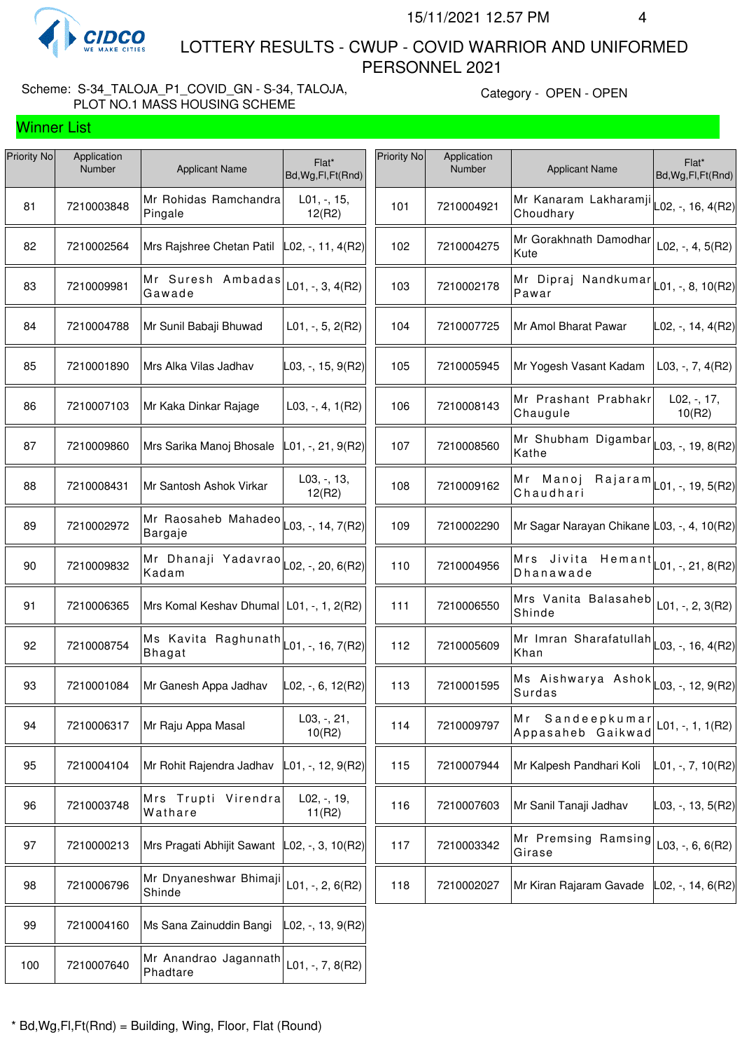

Winner List

 LOTTERY RESULTS - CWUP - COVID WARRIOR AND UNIFORMED PERSONNEL 2021

## Scheme: S-34\_TALOJA\_P1\_COVID\_GN - S-34, TALOJA, PLOT NO.1 MASS HOUSING SCHEME

Category - OPEN - OPEN

| Priority No | Application<br>Number | <b>Applicant Name</b>                                                 | Flat*<br>Bd, Wg, Fl, Ft (Rnd) | Priority No | Application<br>Number | <b>Applicant Name</b>                                           | Flat*<br>Bd, Wg, Fl, Ft (Rnd)          |
|-------------|-----------------------|-----------------------------------------------------------------------|-------------------------------|-------------|-----------------------|-----------------------------------------------------------------|----------------------------------------|
| 81          | 7210003848            | Mr Rohidas Ramchandra<br>Pingale                                      | $L01, -15,$<br>12(R2)         | 101         | 7210004921            | Mr Kanaram Lakharamji<br>Choudhary                              | L02, -, 16, 4(R2)                      |
| 82          | 7210002564            | Mrs Rajshree Chetan Patil                                             | $ $ L02, -, 11, 4(R2)         | 102         | 7210004275            | Mr Gorakhnath Damodhar<br>Kute                                  | L02, $-$ , 4, 5(R2)                    |
| 83          | 7210009981            | Mr Suresh Ambadas<br>Gawade                                           | $L01, -, 3, 4(R2)$            | 103         | 7210002178            | Mr Dipraj Nandkumar $\vert$ L01, -, 8, 10(R2)<br>Pawar          |                                        |
| 84          | 7210004788            | Mr Sunil Babaji Bhuwad                                                | $L01, -, 5, 2(R2)$            | 104         | 7210007725            | Mr Amol Bharat Pawar                                            | $LO2, -14, 4(R2)$                      |
| 85          | 7210001890            | Mrs Alka Vilas Jadhav                                                 | L03, -, 15, 9(R2)             | 105         | 7210005945            | Mr Yogesh Vasant Kadam                                          | L03, -, 7, $4(R2)$                     |
| 86          | 7210007103            | Mr Kaka Dinkar Rajage                                                 | $L03, -, 4, 1(R2)$            | 106         | 7210008143            | Mr Prashant Prabhakr<br>Chaugule                                | $L02, -17,$<br>10(R2)                  |
| 87          | 7210009860            | Mrs Sarika Manoj Bhosale                                              | L01, -, 21, 9(R2)             | 107         | 7210008560            | Mr Shubham Digambar $\vert_{\text{L03, -, 19, 8(R2)}}$<br>Kathe |                                        |
| 88          | 7210008431            | Mr Santosh Ashok Virkar                                               | $L03, -13,$<br>12(R2)         | 108         | 7210009162            | Mr Manoj<br>Chaudhari                                           | $Rajaran$ <sub>L01, -, 19, 5(R2)</sub> |
| 89          | 7210002972            | Mr Raosaheb Mahadeo<br>Bargaje                                        | L03, -, 14, 7(R2)             | 109         | 7210002290            | Mr Sagar Narayan Chikane L03, -, 4, 10(R2)                      |                                        |
| 90          | 7210009832            | Mr Dhanaji Yadavrao<br>Kadam                                          | L02, -, 20, 6(R2)             | 110         | 7210004956            | Mrs Jivita<br>Hemant<br>Dhanawade                               | L01, -, 21, 8(R2)                      |
| 91          | 7210006365            | Mrs Komal Keshav Dhumal   L01, -, 1, 2(R2)                            |                               | 111         | 7210006550            | Mrs Vanita Balasaheb<br>Shinde                                  | L01, $-$ , 2, 3(R2)                    |
| 92          | 7210008754            | Ms Kavita Raghunath $\vert$ $\vert$ 01, -, 16, 7(R2)<br><b>Bhagat</b> |                               | 112         | 7210005609            | Mr Imran Sharafatullah L03, -, 16, 4(R2)<br>Khan                |                                        |
| 93          | 7210001084            | Mr Ganesh Appa Jadhav                                                 | L02, -, 6, 12(R2)             | 113         | 7210001595            | Ms Aishwarya Ashok<br>Surdas                                    | L03, -, 12, 9(R2)                      |
| 94          | 7210006317            | Mr Raju Appa Masal                                                    | L03, -, 21,<br>10(R2)         | 114         | 7210009797            | Sandeepkumar<br>M r<br>Appasaheb Gaikwad                        | $L01, -, 1, 1(R2)$                     |
| 95          | 7210004104            | Mr Rohit Rajendra Jadhav                                              | _01, -, 12, 9(R2)             | 115         | 7210007944            | Mr Kalpesh Pandhari Koli                                        | L01, -, 7, 10(R2)                      |
| 96          | 7210003748            | Mrs Trupti Virendra<br>Wathare                                        | L02, -, 19,<br>11(R2)         | 116         | 7210007603            | Mr Sanil Tanaji Jadhav                                          | $\vert$ L03, -, 13, 5(R2)              |
| 97          | 7210000213            | Mrs Pragati Abhijit Sawant                                            | $ $ L02, -, 3, 10(R2) $ $     | 117         | 7210003342            | Mr Premsing Ramsing<br>Girase                                   | $L03, -, 6, 6(R2)$                     |
| 98          | 7210006796            | Mr Dnyaneshwar Bhimaji<br>Shinde                                      | $L01, -, 2, 6(R2)$            | 118         | 7210002027            | Mr Kiran Rajaram Gavade                                         | $ L02, -, 14, 6(R2) $                  |
| 99          | 7210004160            | Ms Sana Zainuddin Bangi                                               | L02, -, 13, 9(R2)             |             |                       |                                                                 |                                        |
| 100         | 7210007640            | Mr Anandrao Jagannath<br>Phadtare                                     | $L01, -7, 8(R2)$              |             |                       |                                                                 |                                        |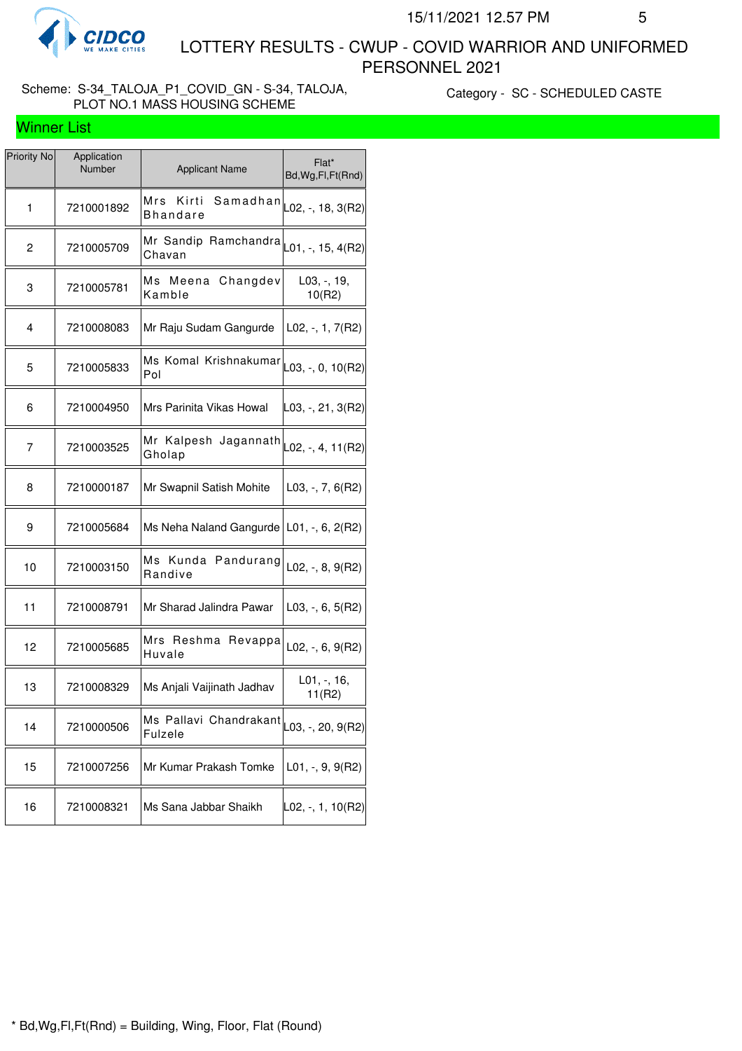

 LOTTERY RESULTS - CWUP - COVID WARRIOR AND UNIFORMED PERSONNEL 2021

## Scheme: S-34\_TALOJA\_P1\_COVID\_GN - S-34, TALOJA, PLOT NO.1 MASS HOUSING SCHEME

Category - SC - SCHEDULED CASTE

| <b>Winner List</b> |  |
|--------------------|--|
|--------------------|--|

| Priority No | Application<br>Number | <b>Applicant Name</b>                         | Flat*<br>Bd, Wg, Fl, Ft (Rnd) |
|-------------|-----------------------|-----------------------------------------------|-------------------------------|
| 1           | 7210001892            | Mrs<br>Kirti<br>Samadhan<br><b>Bhandare</b>   | L02, -, 18, 3(R2)             |
| 2           | 7210005709            | Mr Sandip Ramchandra<br>Chavan                | L01, -, 15, 4(R2)             |
| 3           | 7210005781            | Ms Meena Changdev<br>Kamble                   | L03, -, 19,<br>10(R2)         |
| 4           | 7210008083            | Mr Raju Sudam Gangurde                        | L02, -, 1, 7(R2)              |
| 5           | 7210005833            | Ms Komal Krishnakumar<br>Pol                  | L03, -, 0, 10(R2)             |
| 6           | 7210004950            | Mrs Parinita Vikas Howal                      | L03, -, 21, 3(R2)             |
| 7           | 7210003525            | Mr Kalpesh Jagannath<br>Gholap                | L02, -, 4, 11(R2)             |
| 8           | 7210000187            | Mr Swapnil Satish Mohite                      | $L03, -7, 6(R2)$              |
| 9           | 7210005684            | Ms Neha Naland Gangurde   L01, $-$ , 6, 2(R2) |                               |
| 10          | 7210003150            | Ms Kunda Pandurang<br>Randive                 | $L02, -, 8, 9(R2)$            |
| 11          | 7210008791            | Mr Sharad Jalindra Pawar                      | $L03, -, 6, 5(R2)$            |
| 12          | 7210005685            | Mrs Reshma Revappa<br>Huvale                  | $L02, -, 6, 9(R2)$            |
| 13          | 7210008329            | Ms Anjali Vaijinath Jadhav                    | L01, -, 16,<br>11(R2)         |
| 14          | 7210000506            | Ms Pallavi Chandrakant<br><b>Fulzele</b>      | L03, -, 20, 9(R2)             |
| 15          | 7210007256            | Mr Kumar Prakash Tomke                        | $L01, -, 9, 9(R2)$            |
| 16          | 7210008321            | Ms Sana Jabbar Shaikh                         | L02, -, 1, 10(R2)             |